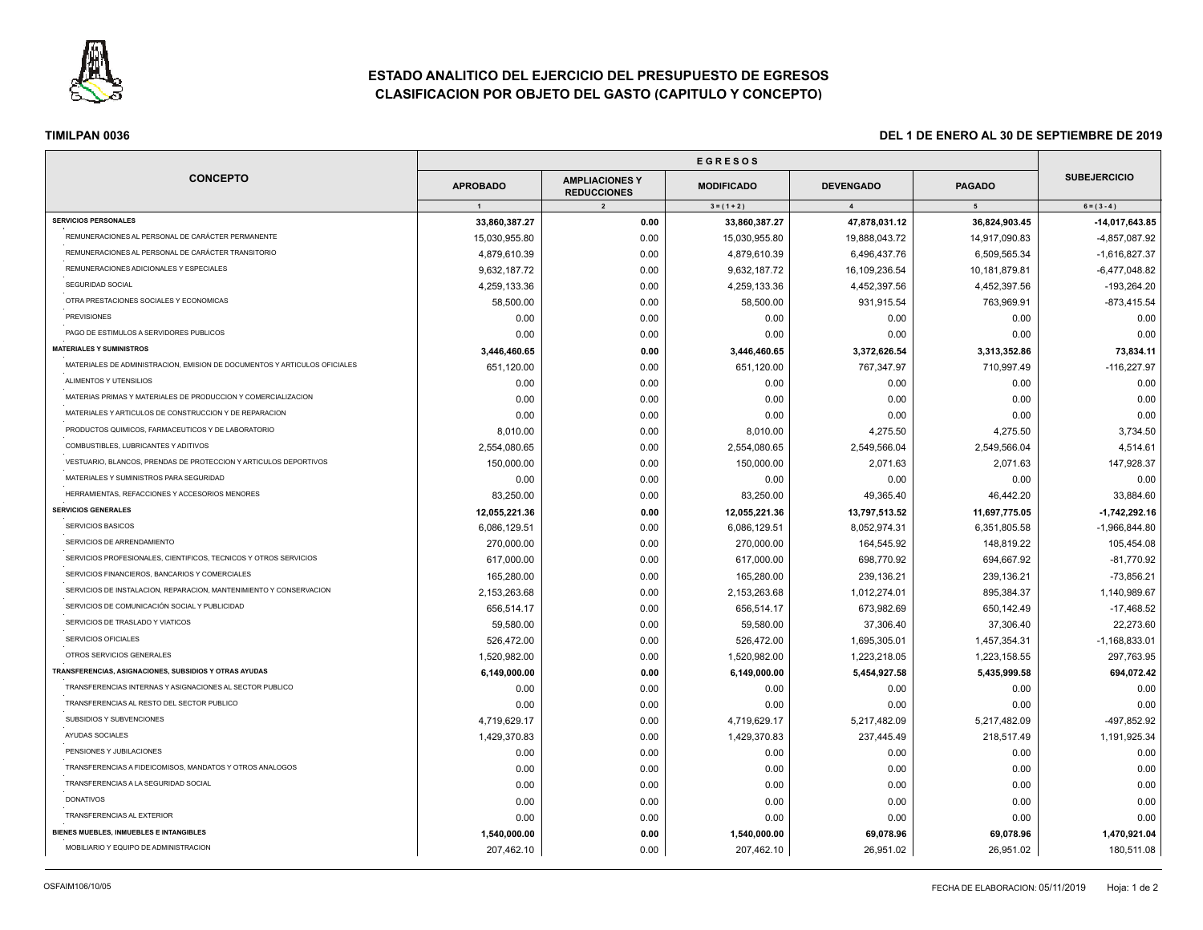

# **ESTADO ANALITICO DEL EJERCICIO DEL PRESUPUESTO DE EGRESOS CLASIFICACION POR OBJETO DEL GASTO (CAPITULO Y CONCEPTO)**

| <b>CONCEPTO</b>                                                           | <b>APROBADO</b><br>$\overline{1}$ | <b>AMPLIACIONES Y</b><br><b>REDUCCIONES</b><br>$\overline{2}$ | <b>MODIFICADO</b><br>$3 = (1 + 2)$ | <b>DEVENGADO</b><br>$\overline{4}$ | <b>PAGADO</b><br>5 <sub>5</sub> | <b>SUBEJERCICIO</b><br>$6 = (3 - 4)$ |
|---------------------------------------------------------------------------|-----------------------------------|---------------------------------------------------------------|------------------------------------|------------------------------------|---------------------------------|--------------------------------------|
|                                                                           |                                   |                                                               |                                    |                                    |                                 |                                      |
| REMUNERACIONES AL PERSONAL DE CARÁCTER PERMANENTE                         | 15,030,955.80                     | 0.00                                                          | 15,030,955.80                      | 19,888,043.72                      | 14,917,090.83                   | -4,857,087.92                        |
| REMUNERACIONES AL PERSONAL DE CARÁCTER TRANSITORIO                        | 4,879,610.39                      | 0.00                                                          | 4,879,610.39                       | 6,496,437.76                       | 6,509,565.34                    | $-1,616,827.37$                      |
| REMUNERACIONES ADICIONALES Y ESPECIALES                                   | 9,632,187.72                      | 0.00                                                          | 9,632,187.72                       | 16,109,236.54                      | 10,181,879.81                   | $-6,477,048.82$                      |
| SEGURIDAD SOCIAL                                                          | 4,259,133.36                      | 0.00                                                          | 4,259,133.36                       | 4,452,397.56                       | 4,452,397.56                    | $-193,264.20$                        |
| OTRA PRESTACIONES SOCIALES Y ECONOMICAS                                   | 58,500.00                         | 0.00                                                          | 58,500.00                          | 931,915.54                         | 763,969.91                      | $-873,415.54$                        |
| <b>PREVISIONES</b>                                                        | 0.00                              | 0.00                                                          | 0.00                               | 0.00                               | 0.00                            | 0.00                                 |
| PAGO DE ESTIMULOS A SERVIDORES PUBLICOS                                   | 0.00                              | 0.00                                                          | 0.00                               | 0.00                               | 0.00                            | 0.00                                 |
| <b>MATERIALES Y SUMINISTROS</b>                                           | 3,446,460.65                      | 0.00                                                          | 3,446,460.65                       | 3,372,626.54                       | 3,313,352.86                    | 73,834.11                            |
| MATERIALES DE ADMINISTRACION, EMISION DE DOCUMENTOS Y ARTICULOS OFICIALES | 651,120.00                        | 0.00                                                          | 651,120.00                         | 767,347.97                         | 710,997.49                      | $-116,227.97$                        |
| ALIMENTOS Y UTENSILIOS                                                    | 0.00                              | 0.00                                                          | 0.00                               | 0.00                               | 0.00                            | 0.00                                 |
| MATERIAS PRIMAS Y MATERIALES DE PRODUCCION Y COMERCIALIZACION             | 0.00                              | 0.00                                                          | 0.00                               | 0.00                               | 0.00                            | 0.00                                 |
| MATERIALES Y ARTICULOS DE CONSTRUCCION Y DE REPARACION                    | 0.00                              | 0.00                                                          | 0.00                               | 0.00                               | 0.00                            | 0.00                                 |
| PRODUCTOS QUIMICOS, FARMACEUTICOS Y DE LABORATORIO                        | 8,010.00                          | 0.00                                                          | 8,010.00                           | 4,275.50                           | 4,275.50                        | 3,734.50                             |
| COMBUSTIBLES, LUBRICANTES Y ADITIVOS                                      | 2,554,080.65                      | 0.00                                                          | 2,554,080.65                       | 2,549,566.04                       | 2,549,566.04                    | 4,514.61                             |
| VESTUARIO, BLANCOS, PRENDAS DE PROTECCION Y ARTICULOS DEPORTIVOS          | 150,000.00                        | 0.00                                                          | 150,000.00                         | 2,071.63                           | 2,071.63                        | 147,928.37                           |
| MATERIALES Y SUMINISTROS PARA SEGURIDAD                                   | 0.00                              | 0.00                                                          | 0.00                               | 0.00                               | 0.00                            | 0.00                                 |
| HERRAMIENTAS, REFACCIONES Y ACCESORIOS MENORES                            | 83,250.00                         | 0.00                                                          | 83,250.00                          | 49,365.40                          | 46,442.20                       | 33,884.60                            |
| <b>SERVICIOS GENERALES</b>                                                | 12,055,221.36                     | 0.00                                                          | 12,055,221.36                      | 13,797,513.52                      | 11,697,775.05                   | $-1,742,292.16$                      |
| SERVICIOS BASICOS                                                         | 6,086,129.51                      | 0.00                                                          | 6,086,129.51                       | 8,052,974.31                       | 6,351,805.58                    | $-1,966,844.80$                      |
| SERVICIOS DE ARRENDAMIENTO                                                | 270.000.00                        | 0.00                                                          | 270,000.00                         | 164,545.92                         | 148,819.22                      | 105,454.08                           |
| SERVICIOS PROFESIONALES, CIENTIFICOS, TECNICOS Y OTROS SERVICIOS          | 617,000.00                        | 0.00                                                          | 617,000.00                         | 698,770.92                         | 694,667.92                      | $-81,770.92$                         |
| SERVICIOS FINANCIEROS, BANCARIOS Y COMERCIALES                            | 165,280.00                        | 0.00                                                          | 165,280.00                         | 239,136.21                         | 239,136.21                      | $-73,856.21$                         |
| SERVICIOS DE INSTALACION, REPARACION, MANTENIMIENTO Y CONSERVACION        | 2,153,263.68                      | 0.00                                                          | 2,153,263.68                       | 1,012,274.01                       | 895,384.37                      | 1,140,989.67                         |
| SERVICIOS DE COMUNICACIÓN SOCIAL Y PUBLICIDAD                             | 656,514.17                        | 0.00                                                          | 656,514.17                         | 673,982.69                         | 650,142.49                      | $-17,468.52$                         |
| SERVICIOS DE TRASLADO Y VIATICOS                                          | 59,580.00                         | 0.00                                                          | 59,580.00                          | 37,306.40                          | 37,306.40                       | 22,273.60                            |
| SERVICIOS OFICIALES                                                       | 526,472.00                        | 0.00                                                          | 526,472.00                         | 1,695,305.01                       | 1,457,354.31                    | $-1,168,833.01$                      |
| OTROS SERVICIOS GENERALES                                                 | 1,520,982.00                      | 0.00                                                          | 1,520,982.00                       | 1,223,218.05                       | 1,223,158.55                    | 297,763.95                           |
| TRANSFERENCIAS, ASIGNACIONES, SUBSIDIOS Y OTRAS AYUDAS                    | 6,149,000.00                      | 0.00                                                          | 6,149,000.00                       | 5,454,927.58                       | 5,435,999.58                    | 694,072.42                           |
| TRANSFERENCIAS INTERNAS Y ASIGNACIONES AL SECTOR PUBLICO                  | 0.00                              | 0.00                                                          | 0.00                               | 0.00                               | 0.00                            | 0.00                                 |
| TRANSFERENCIAS AL RESTO DEL SECTOR PUBLICO                                | 0.00                              | 0.00                                                          | 0.00                               | 0.00                               | 0.00                            | 0.00                                 |
| SUBSIDIOS Y SUBVENCIONES                                                  | 4,719,629.17                      | 0.00                                                          | 4,719,629.17                       | 5,217,482.09                       | 5,217,482.09                    | -497,852.92                          |
| AYUDAS SOCIALES                                                           | 1,429,370.83                      | 0.00                                                          | 1,429,370.83                       | 237,445.49                         | 218,517.49                      | 1,191,925.34                         |
| PENSIONES Y JUBILACIONES                                                  | 0.00                              | 0.00                                                          | 0.00                               | 0.00                               | 0.00                            | 0.00                                 |
| TRANSFERENCIAS A FIDEICOMISOS, MANDATOS Y OTROS ANALOGOS                  | 0.00                              | 0.00                                                          | 0.00                               | 0.00                               | 0.00                            | 0.00                                 |
| TRANSFERENCIAS A LA SEGURIDAD SOCIAL                                      | 0.00                              | 0.00                                                          | 0.00                               | 0.00                               | 0.00                            | 0.00                                 |
| <b>DONATIVOS</b>                                                          |                                   | 0.00                                                          | 0.00                               | 0.00                               |                                 |                                      |
| TRANSFERENCIAS AL EXTERIOR                                                | 0.00                              | 0.00                                                          |                                    |                                    | 0.00                            | 0.00                                 |
| BIENES MUEBLES, INMUEBLES E INTANGIBLES                                   | 0.00                              |                                                               | 0.00                               | 0.00                               | 0.00                            | 0.00                                 |
|                                                                           | 1,540,000.00                      | 0.00                                                          | 1,540,000.00                       | 69,078.96                          | 69,078.96                       | 1,470,921.04                         |